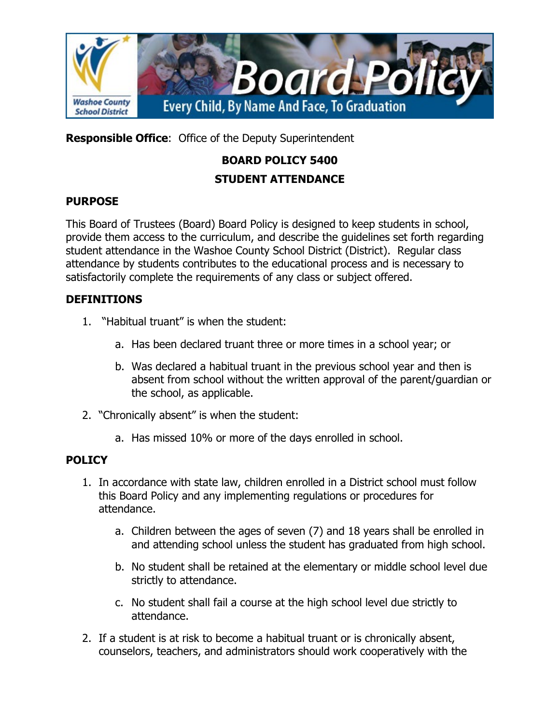

**Responsible Office**: Office of the Deputy Superintendent

# **BOARD POLICY 5400 STUDENT ATTENDANCE**

#### **PURPOSE**

This Board of Trustees (Board) Board Policy is designed to keep students in school, provide them access to the curriculum, and describe the guidelines set forth regarding student attendance in the Washoe County School District (District). Regular class attendance by students contributes to the educational process and is necessary to satisfactorily complete the requirements of any class or subject offered.

#### **DEFINITIONS**

- 1. "Habitual truant" is when the student:
	- a. Has been declared truant three or more times in a school year; or
	- b. Was declared a habitual truant in the previous school year and then is absent from school without the written approval of the parent/guardian or the school, as applicable.
- 2. "Chronically absent" is when the student:
	- a. Has missed 10% or more of the days enrolled in school.

### **POLICY**

- 1. In accordance with state law, children enrolled in a District school must follow this Board Policy and any implementing regulations or procedures for attendance.
	- a. Children between the ages of seven (7) and 18 years shall be enrolled in and attending school unless the student has graduated from high school.
	- b. No student shall be retained at the elementary or middle school level due strictly to attendance.
	- c. No student shall fail a course at the high school level due strictly to attendance.
- 2. If a student is at risk to become a habitual truant or is chronically absent, counselors, teachers, and administrators should work cooperatively with the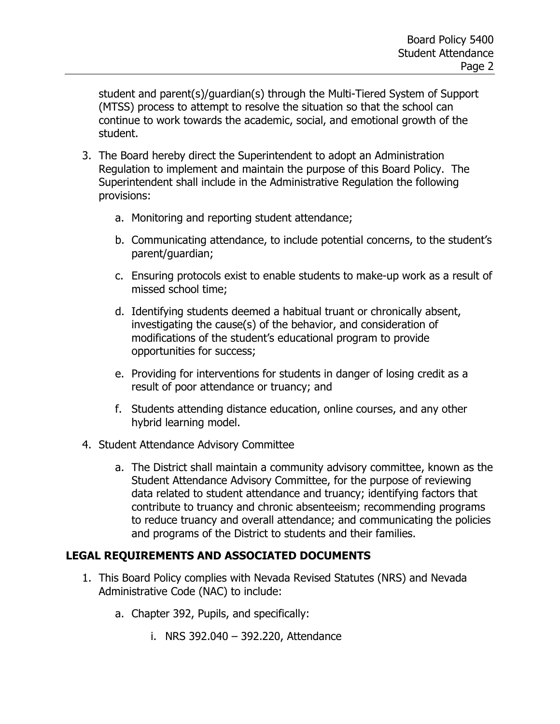student and parent(s)/guardian(s) through the Multi-Tiered System of Support (MTSS) process to attempt to resolve the situation so that the school can continue to work towards the academic, social, and emotional growth of the student.

- 3. The Board hereby direct the Superintendent to adopt an Administration Regulation to implement and maintain the purpose of this Board Policy. The Superintendent shall include in the Administrative Regulation the following provisions:
	- a. Monitoring and reporting student attendance;
	- b. Communicating attendance, to include potential concerns, to the student's parent/guardian;
	- c. Ensuring protocols exist to enable students to make-up work as a result of missed school time;
	- d. Identifying students deemed a habitual truant or chronically absent, investigating the cause(s) of the behavior, and consideration of modifications of the student's educational program to provide opportunities for success;
	- e. Providing for interventions for students in danger of losing credit as a result of poor attendance or truancy; and
	- f. Students attending distance education, online courses, and any other hybrid learning model.
- 4. Student Attendance Advisory Committee
	- a. The District shall maintain a community advisory committee, known as the Student Attendance Advisory Committee, for the purpose of reviewing data related to student attendance and truancy; identifying factors that contribute to truancy and chronic absenteeism; recommending programs to reduce truancy and overall attendance; and communicating the policies and programs of the District to students and their families.

#### **LEGAL REQUIREMENTS AND ASSOCIATED DOCUMENTS**

- 1. This Board Policy complies with Nevada Revised Statutes (NRS) and Nevada Administrative Code (NAC) to include:
	- a. Chapter 392, Pupils, and specifically:
		- i. NRS 392.040 392.220, Attendance